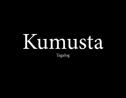# Kumusta Tagalog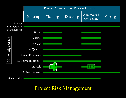

## Project Risk Management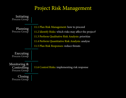## Project Risk Management

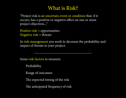"Project risk is an uncertain event or condition that, if it occurs, has a positive or negative effect on one or more project objectives..."

Positive risk = opportunities Negative  $risk =$  threats

In risk management you work to decrease the probability and impact of threats to your project.

Some risk factors to measure:

Probability

Range of outcomes

The expected timing of the risk

The anticipated frequency of risk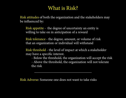Risk attitudes of both the organization and the stakeholders may be influenced by:

Risk appetite - the degree of uncertainty an entity is willing to take on in anticipation of a reward

Risk tolerance - the degree, amount, or volume of risk that an organization or individual will withstand

Risk threshold - the level of impact at which a stakeholder may have a specific interest.

 - Below the threshold, the organization will accept the risk - Above the threshold, the organization will not tolerate the risk

Risk Adverse: Someone one does not want to take risks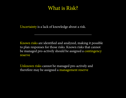Uncertainty is a lack of knowledge about a risk.

Known risks are identified and analyzed, making it possible to plan responses for those risks. Known risks that cannot be managed pro-actively should be assigned a contingency reserve

Unknown risks cannot be managed pro-actively and therefore may be assigned a management reserve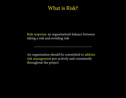Risk response: an organization's balance between taking a risk and avoiding risk

An organization should be committed to address risk management pro-actively and consistently throughout the project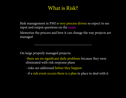Risk management in PMI is very process driven so expect to see input and output questions on the exam

Memorize the process and how it can change the way projects are managed

On large properly managed projects:

-there are no significant daily problems because they were eliminated with risk response plans

- risks are addressed before they happen

- if a risk event occurs there is a plan in place to deal with it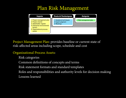

Project Management Plan: provides baseline or current state of risk-affected areas including scope, schedule and cost

#### 4.1 rocess Organizational Process Assets:

pts and terms ts and standard templa  $\ddot{\phantom{2}}$ mnuo Common definitions of concepts and terms Risk statement formats and standard templates  $\cdot$ h Identify 11.4 LOL. Roles and responsibilities and authority levels for decision making Lessons learned Risk categories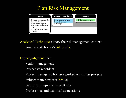

Analytical Techniques: know the risk management context Analise stakeholder's risk profile

Expert Judgment from:

Senior management Develop Project nana

Project stakeholders

Project managers who have worked on similar projects worked on simila rifing 1an aster<sub>s</sub>

Subject matter experts (SMEs)  $\overline{\phantom{a}}$ 

Industry groups and consultants  $\tau$   $\alpha$ r $\alpha$ 

Professional and technical associations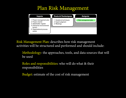

Risk Management Plan: describes how risk management activities will be structured and performed and should include:

Methodology: the approaches, tools, and data sources that will be used 41. . . . . . . . nov· tr DI L

Roles and responsibilities: who will do what & their responsibilities  $\sim$ <mark>ibilities:</mark> who will do what Develop Project LESDU Plan

Budget: estimate of the cost of risk management Identify risk management ristin ma staat we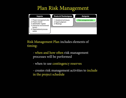

Risk Management Plan includes elements of timing:

- when and how often risk management processes will be performed 4.1  $\boldsymbol{v}$ hen a Charter

- when to use contingency reserves  $\sim$ use contingency reserves  $\mathbf{L}$  and  $\mathbf{L}$ men t

- creates risk management activities to include in the project schedule 1e 1 stake <sub>k</sub>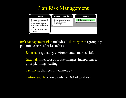

Risk Management Plan includes Risk categories (groupings potential causes of risk) such as:

External: regulatory, environmental, market shifts 4.1  $\mathbf{r}$  regi <u>Charter</u>

Internal: time, cost or scope changes, inexperience, poor planning, staffing Develop Project <u>mmun</u>

Technical: changes in technology

Unforeseeable: should only be 10% of total risk Stakeholders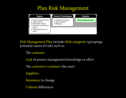

Risk Management Plan includes Risk categories (groupings potential causes of risk) such as:

The customer tomer Charter

Lack of project management knowledge or effort

The customer's customer (the user) custo Plan

Suppliers

Resistance to change

Cultural differences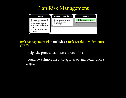

### Risk Management Plan includes a Risk Breakdown Structure (RBS):

- helps the project team see sources of risk 4.1 the pro  $\mathbf{r}$
- could be a simple list of categories or, and better, a RBS diagram Management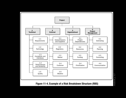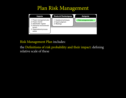

### Risk Management Plan includes:

the Definitions of risk probability and their impact: defining relative scale of these  $\sum_{i=1}^{\infty}$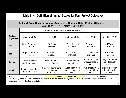#### **Table 11-1. Definition of Impact Scales for Four Project Objectives**

| Defined Conditions for Impact Scales of a Risk on Major Project Objectives<br>(Examples are shown for negative impacts only) |                                          |                                                     |                                                   |                                                 |                                               |
|------------------------------------------------------------------------------------------------------------------------------|------------------------------------------|-----------------------------------------------------|---------------------------------------------------|-------------------------------------------------|-----------------------------------------------|
|                                                                                                                              | Relative or numerical scales are shown   |                                                     |                                                   |                                                 |                                               |
| <b>Project</b><br><b>Objective</b>                                                                                           | Very low $/0.05$                         | Low $/0.10$                                         | Moderate / 0.20                                   | High / 0.40                                     | Very high / 0.80                              |
| Cost                                                                                                                         | Insignificant cost<br>increase           | $< 10\%$ cost<br>increase                           | $10 - 20\% \text{ cost}$<br>increase              | $20 - 40\% \text{ cost}$<br>increase            | $>40\%$ cost<br>increase                      |
| <b>Time</b>                                                                                                                  | Insignificant time<br>increase           | $< 5\%$ time<br>increase                            | $5 - 10\%$ time<br>increase                       | $10 - 20\%$ time<br>increase                    | > 20% time<br>increase                        |
| <b>Scope</b>                                                                                                                 | Scope decrease<br>barely noticeable      | Minor areas of<br>scope affected                    | Major areas of<br>scope affected                  | Scope reduction<br>unacceptable to<br>sponsor   | Project end item<br>is effectively<br>useless |
| <b>Quality</b>                                                                                                               | Quality degradation<br>barely noticeable | Only very demanding<br>applications<br>are affected | Quality reduction<br>requires sponsor<br>approval | Quality reduction<br>unacceptable to<br>sponsor | Project end item<br>is effectively<br>useless |

This table presents examples of risk impact definitions for four different project objectives. They should be tailored in the Risk Management Planning process to the individual project and to the organization's risk thresholds. Impact definitions can be developed for opportunities in a similar way.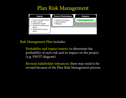

Risk Management Plan includes:

Probability and impact matrix: to determine the probability of each risk and its impact on the project (e.g. SWOT diagram)  $\mathcal{L}$  .  $\mathcal{L}$  .  $\mathcal{L}$ lity of  $\mathcal{L}$ 

Revised stakeholder tolerances: there may need to be revised because of the Plan Risk Management process  **ODAAC** lider tolerances: there may  $L_{\alpha}L_{\alpha}$ Stakt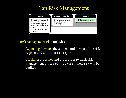

Risk Management Plan includes:

Reporting formats: the content and format of the risk register and any other risk reports and a  $\overline{\phantom{a}}$ 

Tracking: processes and procedures to track risk management processes - be aware of how risk will be audited  $\sim$   $\sim$   $\sim$   $\sim$ ocesses - be aware of now Develop Project ment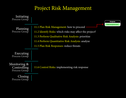#### Project Risk Management key benefit of this process is it ensures that the degree, type, and visibility of risk management are commensura with both the importance of the importance of the project to the organization. The risk management plan is vital to the organization. The risk management plan is vital to the organization. The risk management plan is vita